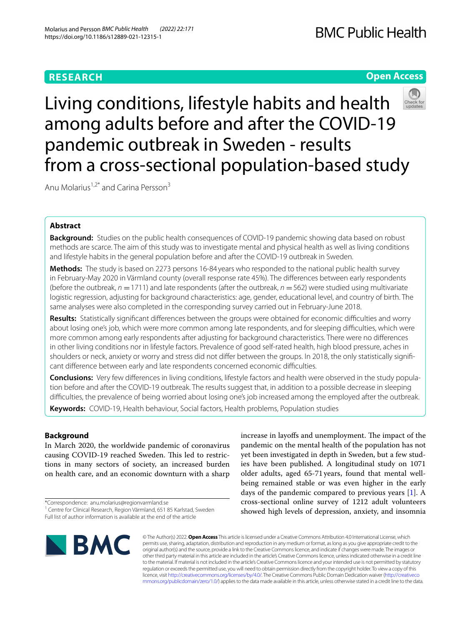# **RESEARCH**

# **BMC Public Health**

# **Open Access**

Living conditions, lifestyle habits and health among adults before and after the COVID-19 pandemic outbreak in Sweden - results from a cross-sectional population-based study

Anu Molarius<sup>1,2\*</sup> and Carina Persson<sup>3</sup>

# **Abstract**

**Background:** Studies on the public health consequences of COVID-19 pandemic showing data based on robust methods are scarce. The aim of this study was to investigate mental and physical health as well as living conditions and lifestyle habits in the general population before and after the COVID-19 outbreak in Sweden.

**Methods:** The study is based on 2273 persons 16-84 years who responded to the national public health survey in February-May 2020 in Värmland county (overall response rate 45%). The diferences between early respondents (before the outbreak,  $n = 1711$ ) and late respondents (after the outbreak,  $n = 562$ ) were studied using multivariate logistic regression, adjusting for background characteristics: age, gender, educational level, and country of birth. The same analyses were also completed in the corresponding survey carried out in February-June 2018.

**Results:** Statistically significant differences between the groups were obtained for economic difficulties and worry about losing one's job, which were more common among late respondents, and for sleeping difficulties, which were more common among early respondents after adjusting for background characteristics. There were no diferences in other living conditions nor in lifestyle factors. Prevalence of good self-rated health, high blood pressure, aches in shoulders or neck, anxiety or worry and stress did not difer between the groups. In 2018, the only statistically signifcant diference between early and late respondents concerned economic difculties.

**Conclusions:** Very few diferences in living conditions, lifestyle factors and health were observed in the study population before and after the COVID-19 outbreak. The results suggest that, in addition to a possible decrease in sleeping difculties, the prevalence of being worried about losing one's job increased among the employed after the outbreak. **Keywords:** COVID-19, Health behaviour, Social factors, Health problems, Population studies

**Background**

In March 2020, the worldwide pandemic of coronavirus causing COVID-19 reached Sweden. This led to restrictions in many sectors of society, an increased burden on health care, and an economic downturn with a sharp

\*Correspondence: anu.molarius@regionvarmland.se <sup>1</sup> Centre for Clinical Research, Region Värmland, 651 85 Karlstad, Sweden Full list of author information is available at the end of the article

increase in layoffs and unemployment. The impact of the pandemic on the mental health of the population has not yet been investigated in depth in Sweden, but a few studies have been published. A longitudinal study on 1071 older adults, aged 65-71years, found that mental wellbeing remained stable or was even higher in the early days of the pandemic compared to previous years [\[1](#page-6-0)]. A cross-sectional online survey of 1212 adult volunteers showed high levels of depression, anxiety, and insomnia



© The Author(s) 2022. **Open Access** This article is licensed under a Creative Commons Attribution 4.0 International License, which permits use, sharing, adaptation, distribution and reproduction in any medium or format, as long as you give appropriate credit to the original author(s) and the source, provide a link to the Creative Commons licence, and indicate if changes were made. The images or other third party material in this article are included in the article's Creative Commons licence, unless indicated otherwise in a credit line to the material. If material is not included in the article's Creative Commons licence and your intended use is not permitted by statutory regulation or exceeds the permitted use, you will need to obtain permission directly from the copyright holder. To view a copy of this licence, visit [http://creativecommons.org/licenses/by/4.0/.](http://creativecommons.org/licenses/by/4.0/) The Creative Commons Public Domain Dedication waiver ([http://creativeco](http://creativecommons.org/publicdomain/zero/1.0/) [mmons.org/publicdomain/zero/1.0/](http://creativecommons.org/publicdomain/zero/1.0/)) applies to the data made available in this article, unless otherwise stated in a credit line to the data.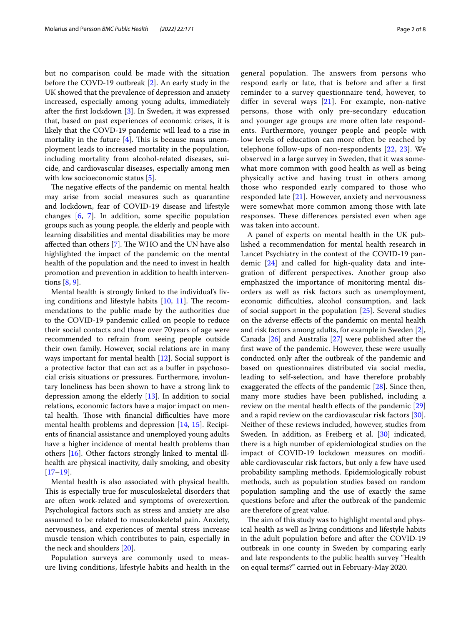but no comparison could be made with the situation before the COVD-19 outbreak [\[2](#page-6-1)]. An early study in the UK showed that the prevalence of depression and anxiety increased, especially among young adults, immediately after the frst lockdown [[3](#page-6-2)]. In Sweden, it was expressed that, based on past experiences of economic crises, it is likely that the COVD-19 pandemic will lead to a rise in mortality in the future  $[4]$  $[4]$ . This is because mass unemployment leads to increased mortality in the population, including mortality from alcohol-related diseases, suicide, and cardiovascular diseases, especially among men with low socioeconomic status [\[5](#page-6-4)].

The negative effects of the pandemic on mental health may arise from social measures such as quarantine and lockdown, fear of COVID-19 disease and lifestyle changes [\[6](#page-6-5), [7\]](#page-6-6). In addition, some specifc population groups such as young people, the elderly and people with learning disabilities and mental disabilities may be more affected than others  $[7]$  $[7]$ . The WHO and the UN have also highlighted the impact of the pandemic on the mental health of the population and the need to invest in health promotion and prevention in addition to health interventions [\[8](#page-6-7), [9\]](#page-7-0).

Mental health is strongly linked to the individual's living conditions and lifestyle habits  $[10, 11]$  $[10, 11]$  $[10, 11]$  $[10, 11]$ . The recommendations to the public made by the authorities due to the COVID-19 pandemic called on people to reduce their social contacts and those over 70 years of age were recommended to refrain from seeing people outside their own family. However, social relations are in many ways important for mental health [[12\]](#page-7-3). Social support is a protective factor that can act as a bufer in psychosocial crisis situations or pressures. Furthermore, involuntary loneliness has been shown to have a strong link to depression among the elderly [[13](#page-7-4)]. In addition to social relations, economic factors have a major impact on mental health. Those with financial difficulties have more mental health problems and depression [[14](#page-7-5), [15\]](#page-7-6). Recipients of fnancial assistance and unemployed young adults have a higher incidence of mental health problems than others [\[16](#page-7-7)]. Other factors strongly linked to mental illhealth are physical inactivity, daily smoking, and obesity [[17–](#page-7-8)[19](#page-7-9)].

Mental health is also associated with physical health. This is especially true for musculoskeletal disorders that are often work-related and symptoms of overexertion. Psychological factors such as stress and anxiety are also assumed to be related to musculoskeletal pain. Anxiety, nervousness, and experiences of mental stress increase muscle tension which contributes to pain, especially in the neck and shoulders [\[20\]](#page-7-10).

Population surveys are commonly used to measure living conditions, lifestyle habits and health in the general population. The answers from persons who respond early or late, that is before and after a frst reminder to a survey questionnaire tend, however, to differ in several ways  $[21]$  $[21]$ . For example, non-native persons, those with only pre-secondary education and younger age groups are more often late respondents. Furthermore, younger people and people with low levels of education can more often be reached by telephone follow-ups of non-respondents [\[22](#page-7-12), [23](#page-7-13)]. We observed in a large survey in Sweden, that it was somewhat more common with good health as well as being physically active and having trust in others among those who responded early compared to those who responded late [\[21\]](#page-7-11). However, anxiety and nervousness were somewhat more common among those with late responses. These differences persisted even when age was taken into account.

A panel of experts on mental health in the UK published a recommendation for mental health research in Lancet Psychiatry in the context of the COVID-19 pandemic [[24\]](#page-7-14) and called for high-quality data and integration of diferent perspectives. Another group also emphasized the importance of monitoring mental disorders as well as risk factors such as unemployment, economic difficulties, alcohol consumption, and lack of social support in the population [\[25](#page-7-15)]. Several studies on the adverse efects of the pandemic on mental health and risk factors among adults, for example in Sweden [\[2](#page-6-1)], Canada [\[26](#page-7-16)] and Australia [[27\]](#page-7-17) were published after the frst wave of the pandemic. However, these were usually conducted only after the outbreak of the pandemic and based on questionnaires distributed via social media, leading to self-selection, and have therefore probably exaggerated the efects of the pandemic [[28\]](#page-7-18). Since then, many more studies have been published, including a review on the mental health effects of the pandemic [[29](#page-7-19)] and a rapid review on the cardiovascular risk factors [\[30](#page-7-20)]. Neither of these reviews included, however, studies from Sweden. In addition, as Freiberg et al. [\[30](#page-7-20)] indicated, there is a high number of epidemiological studies on the impact of COVID-19 lockdown measures on modifable cardiovascular risk factors, but only a few have used probability sampling methods. Epidemiologically robust methods, such as population studies based on random population sampling and the use of exactly the same questions before and after the outbreak of the pandemic are therefore of great value.

The aim of this study was to highlight mental and physical health as well as living conditions and lifestyle habits in the adult population before and after the COVID-19 outbreak in one county in Sweden by comparing early and late respondents to the public health survey "Health on equal terms?" carried out in February-May 2020.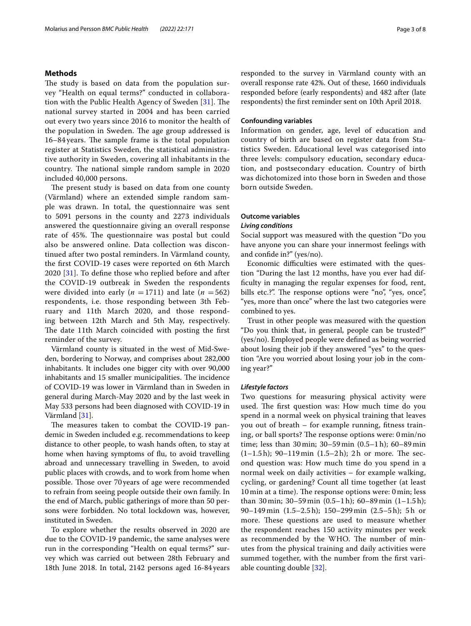#### **Methods**

The study is based on data from the population survey "Health on equal terms?" conducted in collaboration with the Public Health Agency of Sweden  $[31]$  $[31]$ . The national survey started in 2004 and has been carried out every two years since 2016 to monitor the health of the population in Sweden. The age group addressed is 16–84 years. The sample frame is the total population register at Statistics Sweden, the statistical administrative authority in Sweden, covering all inhabitants in the country. The national simple random sample in 2020 included 40,000 persons.

The present study is based on data from one county (Värmland) where an extended simple random sample was drawn. In total, the questionnaire was sent to 5091 persons in the county and 2273 individuals answered the questionnaire giving an overall response rate of 45%. The questionnaire was postal but could also be answered online. Data collection was discontinued after two postal reminders. In Värmland county, the frst COVID-19 cases were reported on 6th March 2020 [[31](#page-7-21)]. To defne those who replied before and after the COVID-19 outbreak in Sweden the respondents were divided into early ( $n = 1711$ ) and late ( $n = 562$ ) respondents, i.e. those responding between 3th February and 11th March 2020, and those responding between 12th March and 5th May, respectively. The date 11th March coincided with posting the first reminder of the survey.

Värmland county is situated in the west of Mid-Sweden, bordering to Norway, and comprises about 282,000 inhabitants. It includes one bigger city with over 90,000 inhabitants and 15 smaller municipalities. The incidence of COVID-19 was lower in Värmland than in Sweden in general during March-May 2020 and by the last week in May 533 persons had been diagnosed with COVID-19 in Värmland [[31](#page-7-21)].

The measures taken to combat the COVID-19 pandemic in Sweden included e.g. recommendations to keep distance to other people, to wash hands often, to stay at home when having symptoms of fu, to avoid travelling abroad and unnecessary travelling in Sweden, to avoid public places with crowds, and to work from home when possible. Those over 70 years of age were recommended to refrain from seeing people outside their own family. In the end of March, public gatherings of more than 50 persons were forbidden. No total lockdown was, however, instituted in Sweden.

To explore whether the results observed in 2020 are due to the COVID-19 pandemic, the same analyses were run in the corresponding "Health on equal terms?" survey which was carried out between 28th February and 18th June 2018. In total, 2142 persons aged 16-84 years responded to the survey in Värmland county with an overall response rate 42%. Out of these, 1660 individuals responded before (early respondents) and 482 after (late respondents) the frst reminder sent on 10th April 2018.

#### **Confounding variables**

Information on gender, age, level of education and country of birth are based on register data from Statistics Sweden. Educational level was categorised into three levels: compulsory education, secondary education, and postsecondary education. Country of birth was dichotomized into those born in Sweden and those born outside Sweden.

#### **Outcome variables**

#### *Living conditions*

Social support was measured with the question "Do you have anyone you can share your innermost feelings with and confde in?" (yes/no).

Economic difficulties were estimated with the question "During the last 12 months, have you ever had diffculty in managing the regular expenses for food, rent, bills etc.?". The response options were "no", "yes, once", "yes, more than once" where the last two categories were combined to yes.

Trust in other people was measured with the question "Do you think that, in general, people can be trusted?" (yes/no). Employed people were defned as being worried about losing their job if they answered "yes" to the question "Are you worried about losing your job in the coming year?"

#### *Lifestyle factors*

Two questions for measuring physical activity were used. The first question was: How much time do you spend in a normal week on physical training that leaves you out of breath – for example running, ftness training, or ball sports? The response options were: 0 min/no time; less than 30 min; 30–59 min (0.5–1 h); 60–89 min  $(1-1.5 h)$ ; 90-119 min  $(1.5-2 h)$ ; 2h or more. The second question was: How much time do you spend in a normal week on daily activities – for example walking, cycling, or gardening? Count all time together (at least 10 min at a time). The response options were: 0 min; less than 30 min;  $30-59$  min  $(0.5-1 h)$ ;  $60-89$  min  $(1-1.5 h)$ ; 90–149 min (1.5–2.5 h); 150–299 min (2.5–5 h); 5 h or more. These questions are used to measure whether the respondent reaches 150 activity minutes per week as recommended by the WHO. The number of minutes from the physical training and daily activities were summed together, with the number from the frst variable counting double [[32\]](#page-7-22).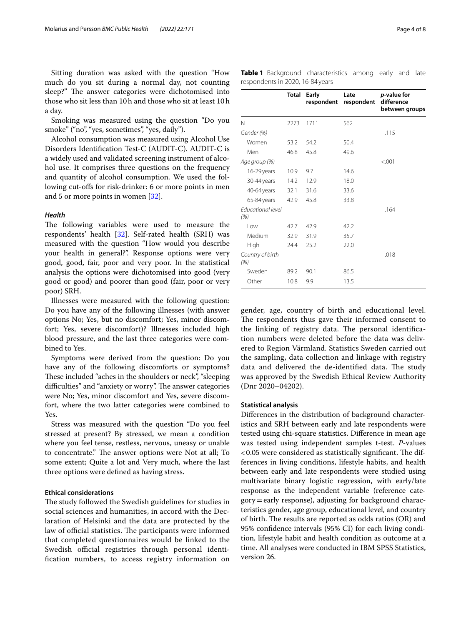Sitting duration was asked with the question "How much do you sit during a normal day, not counting sleep?" The answer categories were dichotomised into those who sit less than 10h and those who sit at least 10h a day.

Smoking was measured using the question "Do you smoke" ("no", "yes, sometimes", "yes, daily").

Alcohol consumption was measured using Alcohol Use Disorders Identifcation Test-C (AUDIT-C). AUDIT-C is a widely used and validated screening instrument of alcohol use. It comprises three questions on the frequency and quantity of alcohol consumption. We used the following cut-ofs for risk-drinker: 6 or more points in men and 5 or more points in women [[32](#page-7-22)].

#### *Health*

The following variables were used to measure the respondents' health [\[32](#page-7-22)]. Self-rated health (SRH) was measured with the question "How would you describe your health in general?". Response options were very good, good, fair, poor and very poor. In the statistical analysis the options were dichotomised into good (very good or good) and poorer than good (fair, poor or very poor) SRH.

Illnesses were measured with the following question: Do you have any of the following illnesses (with answer options No; Yes, but no discomfort; Yes, minor discomfort; Yes, severe discomfort)? Illnesses included high blood pressure, and the last three categories were combined to Yes.

Symptoms were derived from the question: Do you have any of the following discomforts or symptoms? These included "aches in the shoulders or neck", "sleeping difficulties" and "anxiety or worry". The answer categories were No; Yes, minor discomfort and Yes, severe discomfort, where the two latter categories were combined to Yes.

Stress was measured with the question "Do you feel stressed at present? By stressed, we mean a condition where you feel tense, restless, nervous, uneasy or unable to concentrate." The answer options were Not at all; To some extent; Quite a lot and Very much, where the last three options were defned as having stress.

#### **Ethical considerations**

The study followed the Swedish guidelines for studies in social sciences and humanities, in accord with the Declaration of Helsinki and the data are protected by the law of official statistics. The participants were informed that completed questionnaires would be linked to the Swedish official registries through personal identifcation numbers, to access registry information on <span id="page-3-0"></span>**Table 1** Background characteristics among early and late respondents in 2020, 16-84 years

|                                  | Total | Early<br>respondent | Late<br>respondent | <i>p</i> -value for<br>difference<br>between groups |
|----------------------------------|-------|---------------------|--------------------|-----------------------------------------------------|
| N                                | 2273  | 1711                | 562                |                                                     |
| Gender (%)                       |       |                     |                    | .115                                                |
| Women                            | 53.2  | 54.2                | 50.4               |                                                     |
| Men                              | 46.8  | 45.8                | 49.6               |                                                     |
| Age group (%)                    |       |                     |                    | < .001                                              |
| 16-29 years                      | 10.9  | 9.7                 | 14.6               |                                                     |
| 30-44 years                      | 14.2  | 12.9                | 18.0               |                                                     |
| 40-64 years                      | 32.1  | 31.6                | 33.6               |                                                     |
| 65-84 years                      | 42.9  | 45.8                | 33.8               |                                                     |
| <b>Fducational level</b><br>(% ) |       |                     |                    | .164                                                |
| l ow                             | 42.7  | 42.9                | 42.2               |                                                     |
| Medium                           | 32.9  | 31.9                | 35.7               |                                                     |
| High                             | 24.4  | 25.2                | 22.0               |                                                     |
| Country of birth<br>(% )         |       |                     |                    | .018                                                |
| Sweden                           | 89.2  | 90.1                | 86.5               |                                                     |
| Other                            | 10.8  | 9.9                 | 13.5               |                                                     |

gender, age, country of birth and educational level. The respondents thus gave their informed consent to the linking of registry data. The personal identification numbers were deleted before the data was delivered to Region Värmland. Statistics Sweden carried out the sampling, data collection and linkage with registry data and delivered the de-identified data. The study was approved by the Swedish Ethical Review Authority (Dnr 2020–04202).

#### **Statistical analysis**

Diferences in the distribution of background characteristics and SRH between early and late respondents were tested using chi-square statistics. Diference in mean age was tested using independent samples t-test. *P*-values  $<$  0.05 were considered as statistically significant. The differences in living conditions, lifestyle habits, and health between early and late respondents were studied using multivariate binary logistic regression, with early/late response as the independent variable (reference category=early response), adjusting for background characteristics gender, age group, educational level, and country of birth. The results are reported as odds ratios  $(OR)$  and 95% confdence intervals (95% CI) for each living condition, lifestyle habit and health condition as outcome at a time. All analyses were conducted in IBM SPSS Statistics, version 26.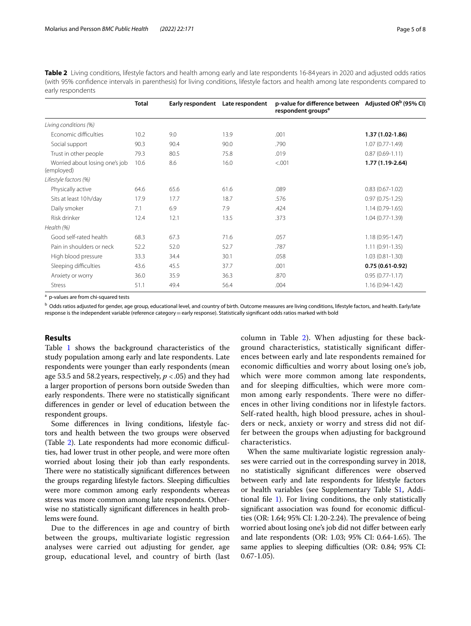<span id="page-4-0"></span>**Table 2** Living conditions, lifestyle factors and health among early and late respondents 16-84years in 2020 and adjusted odds ratios (with 95% confdence intervals in parenthesis) for living conditions, lifestyle factors and health among late respondents compared to early respondents

|                                              | <b>Total</b> |      | Early respondent Late respondent | p-value for difference between Adjusted OR <sup>b</sup> (95% CI)<br>respondent groups <sup>a</sup> |                     |
|----------------------------------------------|--------------|------|----------------------------------|----------------------------------------------------------------------------------------------------|---------------------|
| Living conditions (%)                        |              |      |                                  |                                                                                                    |                     |
| Economic difficulties                        | 10.2         | 9.0  | 13.9                             | .001                                                                                               | 1.37 (1.02-1.86)    |
| Social support                               | 90.3         | 90.4 | 90.0                             | .790                                                                                               | $1.07(0.77-1.49)$   |
| Trust in other people                        | 79.3         | 80.5 | 75.8                             | .019                                                                                               | $0.87(0.69 - 1.11)$ |
| Worried about losing one's job<br>(employed) | 10.6         | 8.6  | 16.0                             | < .001                                                                                             | 1.77 (1.19-2.64)    |
| Lifestyle factors (%)                        |              |      |                                  |                                                                                                    |                     |
| Physically active                            | 64.6         | 65.6 | 61.6                             | .089                                                                                               | $0.83(0.67 - 1.02)$ |
| Sits at least 10 h/day                       | 17.9         | 17.7 | 18.7                             | .576                                                                                               | $0.97(0.75-1.25)$   |
| Daily smoker                                 | 7.1          | 6.9  | 7.9                              | .424                                                                                               | $1.14(0.79-1.65)$   |
| Risk drinker                                 | 12.4         | 12.1 | 13.5                             | .373                                                                                               | $1.04(0.77-1.39)$   |
| Health (%)                                   |              |      |                                  |                                                                                                    |                     |
| Good self-rated health                       | 68.3         | 67.3 | 71.6                             | .057                                                                                               | $1.18(0.95 - 1.47)$ |
| Pain in shoulders or neck                    | 52.2         | 52.0 | 52.7                             | .787                                                                                               | $1.11(0.91 - 1.35)$ |
| High blood pressure                          | 33.3         | 34.4 | 30.1                             | .058                                                                                               | $1.03(0.81 - 1.30)$ |
| Sleeping difficulties                        | 43.6         | 45.5 | 37.7                             | .001                                                                                               | $0.75(0.61-0.92)$   |
| Anxiety or worry                             | 36.0         | 35.9 | 36.3                             | .870                                                                                               | $0.95(0.77 - 1.17)$ |
| <b>Stress</b>                                | 51.1         | 49.4 | 56.4                             | .004                                                                                               | $1.16(0.94-1.42)$   |
|                                              |              |      |                                  |                                                                                                    |                     |

a p-values are from chi-squared tests

b Odds ratios adjusted for gender, age group, educational level, and country of birth. Outcome measures are living conditions, lifestyle factors, and health. Early/late response is the independent variable (reference category = early response). Statistically significant odds ratios marked with bold

#### **Results**

Table [1](#page-3-0) shows the background characteristics of the study population among early and late respondents. Late respondents were younger than early respondents (mean age 53.5 and 58.2years, respectively, *p* <.05) and they had a larger proportion of persons born outside Sweden than early respondents. There were no statistically significant diferences in gender or level of education between the respondent groups.

Some diferences in living conditions, lifestyle factors and health between the two groups were observed (Table [2](#page-4-0)). Late respondents had more economic difficulties, had lower trust in other people, and were more often worried about losing their job than early respondents. There were no statistically significant differences between the groups regarding lifestyle factors. Sleeping difficulties were more common among early respondents whereas stress was more common among late respondents. Otherwise no statistically signifcant diferences in health problems were found.

Due to the diferences in age and country of birth between the groups, multivariate logistic regression analyses were carried out adjusting for gender, age group, educational level, and country of birth (last

column in Table [2](#page-4-0)). When adjusting for these background characteristics, statistically signifcant diferences between early and late respondents remained for economic difficulties and worry about losing one's job, which were more common among late respondents, and for sleeping difficulties, which were more common among early respondents. There were no differences in other living conditions nor in lifestyle factors. Self-rated health, high blood pressure, aches in shoulders or neck, anxiety or worry and stress did not differ between the groups when adjusting for background characteristics.

When the same multivariate logistic regression analyses were carried out in the corresponding survey in 2018, no statistically signifcant diferences were observed between early and late respondents for lifestyle factors or health variables (see Supplementary Table S[1,](#page-6-8) Additional fle [1\)](#page-6-8). For living conditions, the only statistically significant association was found for economic difficulties (OR: 1.64;  $95\%$  CI: 1.20-2.24). The prevalence of being worried about losing one's job did not difer between early and late respondents (OR: 1.03; 95% CI: 0.64-1.65). The same applies to sleeping difficulties (OR: 0.84; 95% CI: 0.67-1.05).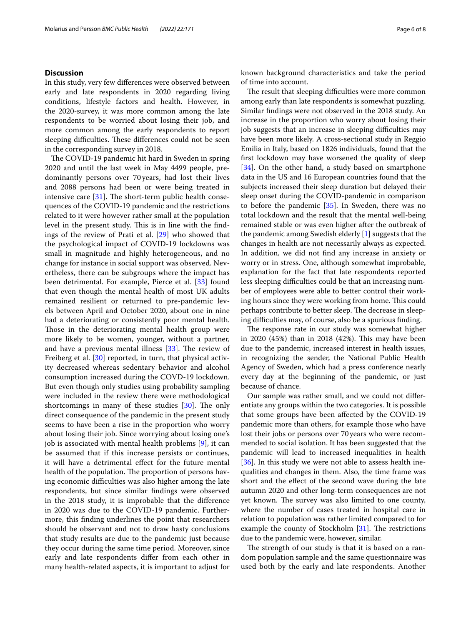#### **Discussion**

In this study, very few diferences were observed between early and late respondents in 2020 regarding living conditions, lifestyle factors and health. However, in the 2020-survey, it was more common among the late respondents to be worried about losing their job, and more common among the early respondents to report sleeping difficulties. These differences could not be seen in the corresponding survey in 2018.

The COVID-19 pandemic hit hard in Sweden in spring 2020 and until the last week in May 4499 people, predominantly persons over 70 years, had lost their lives and 2088 persons had been or were being treated in intensive care  $[31]$  $[31]$ . The short-term public health consequences of the COVID-19 pandemic and the restrictions related to it were however rather small at the population level in the present study. This is in line with the findings of the review of Prati et al. [[29\]](#page-7-19) who showed that the psychological impact of COVID-19 lockdowns was small in magnitude and highly heterogeneous, and no change for instance in social support was observed. Nevertheless, there can be subgroups where the impact has been detrimental. For example, Pierce et al. [\[33](#page-7-23)] found that even though the mental health of most UK adults remained resilient or returned to pre-pandemic levels between April and October 2020, about one in nine had a deteriorating or consistently poor mental health. Those in the deteriorating mental health group were more likely to be women, younger, without a partner, and have a previous mental illness  $[33]$  $[33]$ . The review of Freiberg et al. [\[30](#page-7-20)] reported, in turn, that physical activity decreased whereas sedentary behavior and alcohol consumption increased during the COVD-19 lockdown. But even though only studies using probability sampling were included in the review there were methodological shortcomings in many of these studies  $[30]$  $[30]$ . The only direct consequence of the pandemic in the present study seems to have been a rise in the proportion who worry about losing their job. Since worrying about losing one's job is associated with mental health problems [[9\]](#page-7-0), it can be assumed that if this increase persists or continues, it will have a detrimental efect for the future mental health of the population. The proportion of persons having economic difficulties was also higher among the late respondents, but since similar fndings were observed in the 2018 study, it is improbable that the diference in 2020 was due to the COVID-19 pandemic. Furthermore, this fnding underlines the point that researchers should be observant and not to draw hasty conclusions that study results are due to the pandemic just because they occur during the same time period. Moreover, since early and late respondents difer from each other in many health-related aspects, it is important to adjust for known background characteristics and take the period of time into account.

The result that sleeping difficulties were more common among early than late respondents is somewhat puzzling. Similar fndings were not observed in the 2018 study. An increase in the proportion who worry about losing their job suggests that an increase in sleeping difficulties may have been more likely. A cross-sectional study in Reggio Emilia in Italy, based on 1826 individuals, found that the frst lockdown may have worsened the quality of sleep [[34\]](#page-7-24). On the other hand, a study based on smartphone data in the US and 16 European countries found that the subjects increased their sleep duration but delayed their sleep onset during the COVID-pandemic in comparison to before the pandemic [\[35](#page-7-25)]. In Sweden, there was no total lockdown and the result that the mental well-being remained stable or was even higher after the outbreak of the pandemic among Swedish elderly [[1\]](#page-6-0) suggests that the changes in health are not necessarily always as expected. In addition, we did not fnd any increase in anxiety or worry or in stress. One, although somewhat improbable, explanation for the fact that late respondents reported less sleeping difficulties could be that an increasing number of employees were able to better control their working hours since they were working from home. This could perhaps contribute to better sleep. The decrease in sleeping difficulties may, of course, also be a spurious finding.

The response rate in our study was somewhat higher in 2020 (45%) than in 2018 (42%). This may have been due to the pandemic, increased interest in health issues, in recognizing the sender, the National Public Health Agency of Sweden, which had a press conference nearly every day at the beginning of the pandemic, or just because of chance.

Our sample was rather small, and we could not diferentiate any groups within the two categories. It is possible that some groups have been afected by the COVID-19 pandemic more than others, for example those who have lost their jobs or persons over 70years who were recommended to social isolation. It has been suggested that the pandemic will lead to increased inequalities in health [[36\]](#page-7-26). In this study we were not able to assess health inequalities and changes in them. Also, the time frame was short and the efect of the second wave during the late autumn 2020 and other long-term consequences are not yet known. The survey was also limited to one county, where the number of cases treated in hospital care in relation to population was rather limited compared to for example the county of Stockholm  $[31]$  $[31]$ . The restrictions due to the pandemic were, however, similar.

The strength of our study is that it is based on a random population sample and the same questionnaire was used both by the early and late respondents. Another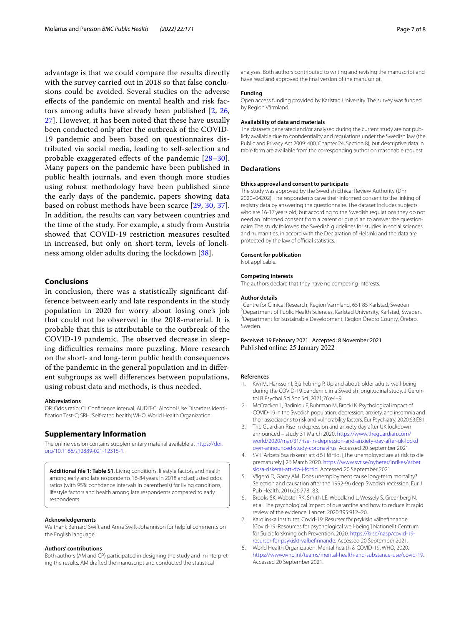advantage is that we could compare the results directly with the survey carried out in 2018 so that false conclusions could be avoided. Several studies on the adverse efects of the pandemic on mental health and risk factors among adults have already been published [\[2](#page-6-1), [26](#page-7-16), [27\]](#page-7-17). However, it has been noted that these have usually been conducted only after the outbreak of the COVID-19 pandemic and been based on questionnaires distributed via social media, leading to self-selection and probable exaggerated effects of the pandemic [[28–](#page-7-18)[30\]](#page-7-20). Many papers on the pandemic have been published in public health journals, and even though more studies using robust methodology have been published since the early days of the pandemic, papers showing data based on robust methods have been scarce [\[29](#page-7-19), [30,](#page-7-20) [37\]](#page-7-27). In addition, the results can vary between countries and the time of the study. For example, a study from Austria showed that COVID-19 restriction measures resulted in increased, but only on short-term, levels of loneliness among older adults during the lockdown [[38](#page-7-28)].

#### **Conclusions**

In conclusion, there was a statistically signifcant difference between early and late respondents in the study population in 2020 for worry about losing one's job that could not be observed in the 2018-material. It is probable that this is attributable to the outbreak of the COVID-19 pandemic. The observed decrease in sleeping difficulties remains more puzzling. More research on the short- and long-term public health consequences of the pandemic in the general population and in diferent subgroups as well diferences between populations, using robust data and methods, is thus needed.

#### **Abbreviations**

OR: Odds ratio; CI: Confdence interval; AUDIT-C: Alcohol Use Disorders Identifcation Test-C; SRH: Self-rated health; WHO: World Health Organization.

#### **Supplementary Information**

The online version contains supplementary material available at [https://doi.](https://doi.org/10.1186/s12889-021-12315-1) [org/10.1186/s12889-021-12315-1](https://doi.org/10.1186/s12889-021-12315-1).

<span id="page-6-8"></span>**Additional fle 1: Table S1**. Living conditions, lifestyle factors and health among early and late respondents 16-84 years in 2018 and adjusted odds ratios (with 95% confdence intervals in parenthesis) for living conditions, lifestyle factors and health among late respondents compared to early respondents.

#### **Acknowledgements**

We thank Bernard Swift and Anna Swift-Johannison for helpful comments on the English language.

#### **Authors' contributions**

Both authors (AM and CP) participated in designing the study and in interpreting the results. AM drafted the manuscript and conducted the statistical

analyses. Both authors contributed to writing and revising the manuscript and have read and approved the fnal version of the manuscript.

#### **Funding**

Open access funding provided by Karlstad University. The survey was funded by Region Värmland.

#### **Availability of data and materials**

The datasets generated and/or analysed during the current study are not publicly available due to confdentiality and regulations under the Swedish law (the Public and Privacy Act 2009: 400, Chapter 24, Section 8), but descriptive data in table form are available from the corresponding author on reasonable request.

#### **Declarations**

#### **Ethics approval and consent to participate**

The study was approved by the Swedish Ethical Review Authority (Dnr 2020–04202). The respondents gave their informed consent to the linking of registry data by answering the questionnaire. The dataset includes subjects who are 16-17 years old, but according to the Swedish regulations they do not need an informed consent from a parent or guardian to answer the questionnaire. The study followed the Swedish guidelines for studies in social sciences and humanities, in accord with the Declaration of Helsinki and the data are protected by the law of official statistics.

#### **Consent for publication**

Not applicable.

#### **Competing interests**

The authors declare that they have no competing interests.

#### **Author details**

<sup>1</sup> Centre for Clinical Research, Region Värmland, 651 85 Karlstad, Sweden.<br><sup>2</sup> Department of Public Hoalth Sciences, Karlstad University Karlstad, Swe <sup>2</sup> Department of Public Health Sciences, Karlstad University, Karlstad, Sweden. <sup>3</sup> Department for Sustainable Development, Region Örebro County, Örebro, Sweden.

Received: 19 February 2021 Accepted: 8 November 2021 Published online: 25 January 2022

#### **References**

- <span id="page-6-0"></span>1. Kivi M, Hansson I, Bjälkebring P. Up and about: older adults' well-being during the COVID-19 pandemic in a Swedish longitudinal study. J Gerontol B Psychol Sci Soc Sci. 2021;76:e4–9.
- <span id="page-6-1"></span>2. McCracken L, Badinlou F, Buhrman M, Brocki K. Psychological impact of COVID-19 in the Swedish population: depression, anxiety, and insomnia and their associations to risk and vulnerability factors. Eur Psychiatry. 2020;63:E81.
- <span id="page-6-2"></span>3. The Guardian Rise in depression and anxiety day after UK lockdown announced – study 31 March 2020. [https://www.theguardian.com/](https://www.theguardian.com/world/2020/mar/31/rise-in-depression-and-anxiety-day-after-uk-lockdown-announced-study-coronavirus) [world/2020/mar/31/rise-in-depression-and-anxiety-day-after-uk-lockd](https://www.theguardian.com/world/2020/mar/31/rise-in-depression-and-anxiety-day-after-uk-lockdown-announced-study-coronavirus) [own-announced-study-coronavirus.](https://www.theguardian.com/world/2020/mar/31/rise-in-depression-and-anxiety-day-after-uk-lockdown-announced-study-coronavirus) Accessed 20 September 2021.
- <span id="page-6-3"></span>4. SVT. Arbetslösa riskerar att dö i förtid. [The unemployed are at risk to die prematurely.] 26 March 2020. [https://www.svt.se/nyheter/inrikes/arbet](https://www.svt.se/nyheter/inrikes/arbetslosa-riskerar-att-do-i-fortid) [slosa-riskerar-att-do-i-fortid.](https://www.svt.se/nyheter/inrikes/arbetslosa-riskerar-att-do-i-fortid) Accessed 20 September 2021.
- <span id="page-6-4"></span>5. Vågerö D, Garcy AM. Does unemployment cause long-term mortality? Selection and causation after the 1992-96 deep Swedish recession. Eur J Pub Health. 2016;26:778–83.
- <span id="page-6-5"></span>6. Brooks SK, Webster RK, Smith LE, Woodland L, Wessely S, Greenberg N, et al. The psychological impact of quarantine and how to reduce it: rapid review of the evidence. Lancet. 2020;395:912–20.
- <span id="page-6-6"></span>7. Karolinska Institutet. Covid-19: Resurser för psykiskt välbefnnande. [Covid-19: Resources for psychological well-being.] Nationellt Centrum för Suicidforskning och Prevention, 2020. [https://ki.se/nasp/covid-19](https://ki.se/nasp/covid-19-resurser-for-psykiskt-valbefinnande) [resurser-for-psykiskt-valbefnnande.](https://ki.se/nasp/covid-19-resurser-for-psykiskt-valbefinnande) Accessed 20 September 2021.
- <span id="page-6-7"></span>8. World Health Organization. Mental health & COVID-19. WHO, 2020. <https://www.who.int/teams/mental-health-and-substance-use/covid-19>. Accessed 20 September 2021.